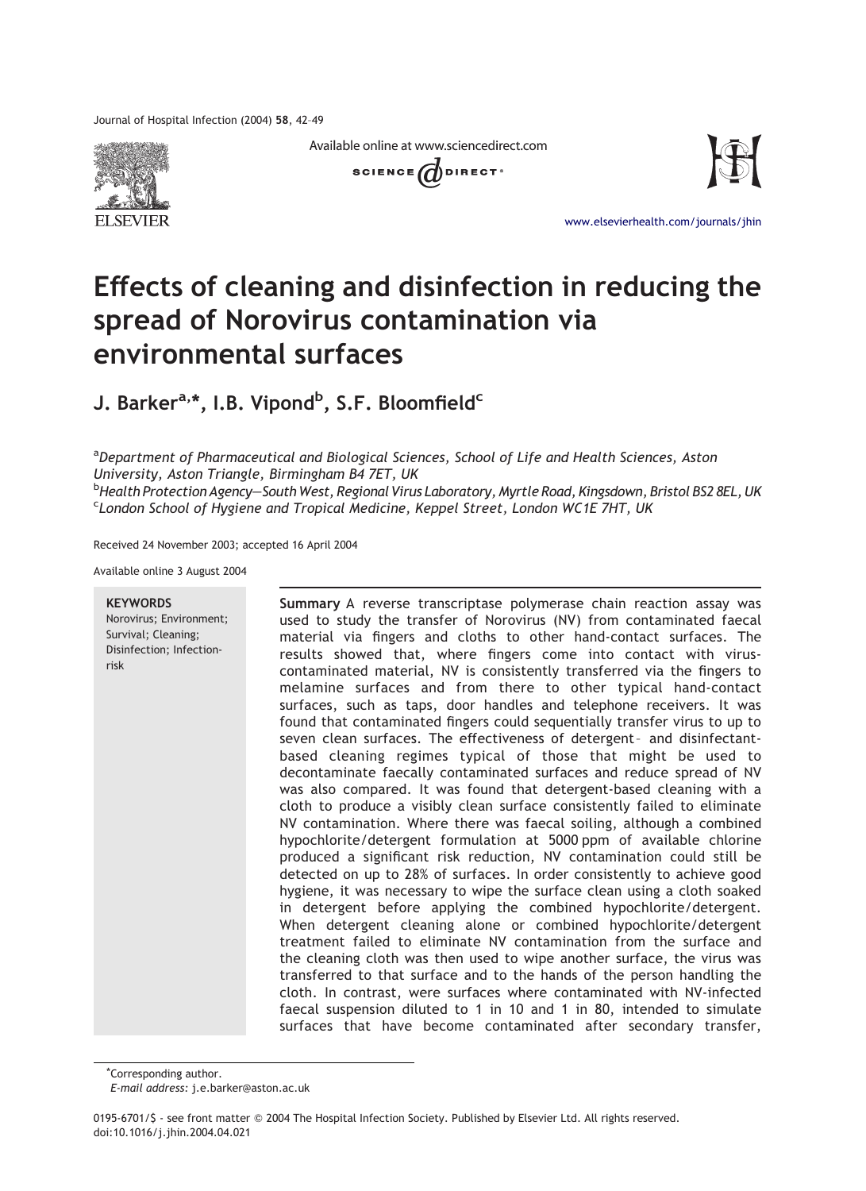Journal of Hospital Infection (2004) 58, 42–49









[www.elsevierhealth.com/journals/jhin](http://www.elsevierhealth.com/journals/jhin)

# Effects of cleaning and disinfection in reducing the spread of Norovirus contamination via environmental surfaces

J. Barker<sup>a,</sup>\*, I.B. Vipond<sup>b</sup>, S.F. Bloomfield<sup>c</sup>

<sup>a</sup>Department of Pharmaceutical and Biological Sciences, School of Life and Health Sciences, Aston University, Aston Triangle, Birmingham B4 7ET, UK <sup>b</sup>Health Protection Agency—South West, Regional Virus Laboratory, Myrtle Road, Kingsdown, Bristol BS2 8EL, UK<br><sup>C</sup>London, School, of Hygiane, and Tropical, Medicine, Kennel, Street, London, WC1E, 7HT, LIK <sup>c</sup> London School of Hygiene and Tropical Medicine, Keppel Street, London WC1E 7HT, UK

Received 24 November 2003; accepted 16 April 2004

Available online 3 August 2004

#### **KEYWORDS**

Norovirus; Environment; Survival; Cleaning; Disinfection; Infectionrisk

Summary A reverse transcriptase polymerase chain reaction assay was used to study the transfer of Norovirus (NV) from contaminated faecal material via fingers and cloths to other hand-contact surfaces. The results showed that, where fingers come into contact with viruscontaminated material, NV is consistently transferred via the fingers to melamine surfaces and from there to other typical hand-contact surfaces, such as taps, door handles and telephone receivers. It was found that contaminated fingers could sequentially transfer virus to up to seven clean surfaces. The effectiveness of detergent- and disinfectantbased cleaning regimes typical of those that might be used to decontaminate faecally contaminated surfaces and reduce spread of NV was also compared. It was found that detergent-based cleaning with a cloth to produce a visibly clean surface consistently failed to eliminate NV contamination. Where there was faecal soiling, although a combined hypochlorite/detergent formulation at 5000 ppm of available chlorine produced a significant risk reduction, NV contamination could still be detected on up to 28% of surfaces. In order consistently to achieve good hygiene, it was necessary to wipe the surface clean using a cloth soaked in detergent before applying the combined hypochlorite/detergent. When detergent cleaning alone or combined hypochlorite/detergent treatment failed to eliminate NV contamination from the surface and the cleaning cloth was then used to wipe another surface, the virus was transferred to that surface and to the hands of the person handling the cloth. In contrast, were surfaces where contaminated with NV-infected faecal suspension diluted to 1 in 10 and 1 in 80, intended to simulate surfaces that have become contaminated after secondary transfer,

\*Corresponding author.

E-mail address: j.e.barker@aston.ac.uk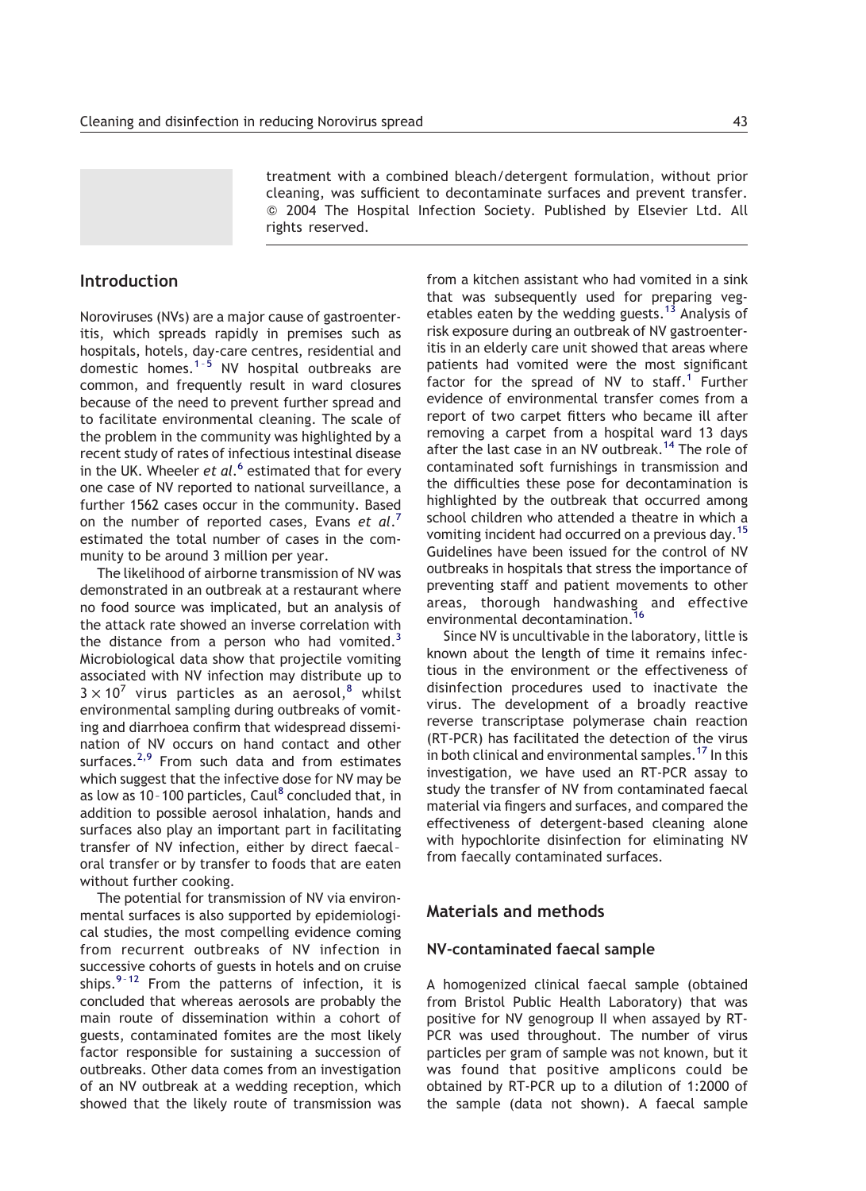treatment with a combined bleach/detergent formulation, without prior cleaning, was sufficient to decontaminate surfaces and prevent transfer. Q 2004 The Hospital Infection Society. Published by Elsevier Ltd. All rights reserved.

## Introduction

Noroviruses (NVs) are a major cause of gastroenteritis, which spreads rapidly in premises such as hospitals, hotels, day-care centres, residential and domestic homes.<sup>1-5</sup> NV hospital outbreaks are common, and frequently result in ward closures because of the need to prevent further spread and to facilitate environmental cleaning. The scale of the problem in the community was highlighted by a recent study of rates of infectious intestinal disease in the UK. Wheeler et al.<sup>[6](#page-6-0)</sup> estimated that for every one case of NV reported to national surveillance, a further 1562 cases occur in the community. Based on the number of reported cases, Evans et  $al.^7$  $al.^7$ estimated the total number of cases in the community to be around 3 million per year.

The likelihood of airborne transmission of NV was demonstrated in an outbreak at a restaurant where no food source was implicated, but an analysis of the attack rate showed an inverse correlation with the distance from a person who had vomited.<sup>[3](#page-6-0)</sup> Microbiological data show that projectile vomiting associated with NV infection may distribute up to  $3 \times 10^7$  virus particles as an aerosol,<sup>[8](#page-6-0)</sup> whilst environmental sampling during outbreaks of vomiting and diarrhoea confirm that widespread dissemination of NV occurs on hand contact and other surfaces.<sup>[2,9](#page-6-0)</sup> From such data and from estimates which suggest that the infective dose for NV may be as low as 10-100 particles, Caul $^8$  $^8$  concluded that, in addition to possible aerosol inhalation, hands and surfaces also play an important part in facilitating transfer of NV infection, either by direct faecal – oral transfer or by transfer to foods that are eaten without further cooking.

The potential for transmission of NV via environmental surfaces is also supported by epidemiological studies, the most compelling evidence coming from recurrent outbreaks of NV infection in successive cohorts of guests in hotels and on cruise ships. $9-12$  From the patterns of infection, it is concluded that whereas aerosols are probably the main route of dissemination within a cohort of guests, contaminated fomites are the most likely factor responsible for sustaining a succession of outbreaks. Other data comes from an investigation of an NV outbreak at a wedding reception, which showed that the likely route of transmission was from a kitchen assistant who had vomited in a sink that was subsequently used for preparing veg-etables eaten by the wedding guests.<sup>[13](#page-7-0)</sup> Analysis of risk exposure during an outbreak of NV gastroenteritis in an elderly care unit showed that areas where patients had vomited were the most significant factor for the spread of NV to staff.<sup>[1](#page-6-0)</sup> Further evidence of environmental transfer comes from a report of two carpet fitters who became ill after removing a carpet from a hospital ward 13 days after the last case in an NV outbreak.<sup>[14](#page-7-0)</sup> The role of contaminated soft furnishings in transmission and the difficulties these pose for decontamination is highlighted by the outbreak that occurred among school children who attended a theatre in which a vomiting incident had occurred on a previous day.<sup>[15](#page-7-0)</sup> Guidelines have been issued for the control of NV outbreaks in hospitals that stress the importance of preventing staff and patient movements to other areas, thorough handwashing and effective environmental decontamination.

Since NV is uncultivable in the laboratory, little is known about the length of time it remains infectious in the environment or the effectiveness of disinfection procedures used to inactivate the virus. The development of a broadly reactive reverse transcriptase polymerase chain reaction (RT-PCR) has facilitated the detection of the virus in both clinical and environmental samples.<sup>17</sup> In this investigation, we have used an RT-PCR assay to study the transfer of NV from contaminated faecal material via fingers and surfaces, and compared the effectiveness of detergent-based cleaning alone with hypochlorite disinfection for eliminating NV from faecally contaminated surfaces.

## Materials and methods

## NV-contaminated faecal sample

A homogenized clinical faecal sample (obtained from Bristol Public Health Laboratory) that was positive for NV genogroup II when assayed by RT-PCR was used throughout. The number of virus particles per gram of sample was not known, but it was found that positive amplicons could be obtained by RT-PCR up to a dilution of 1:2000 of the sample (data not shown). A faecal sample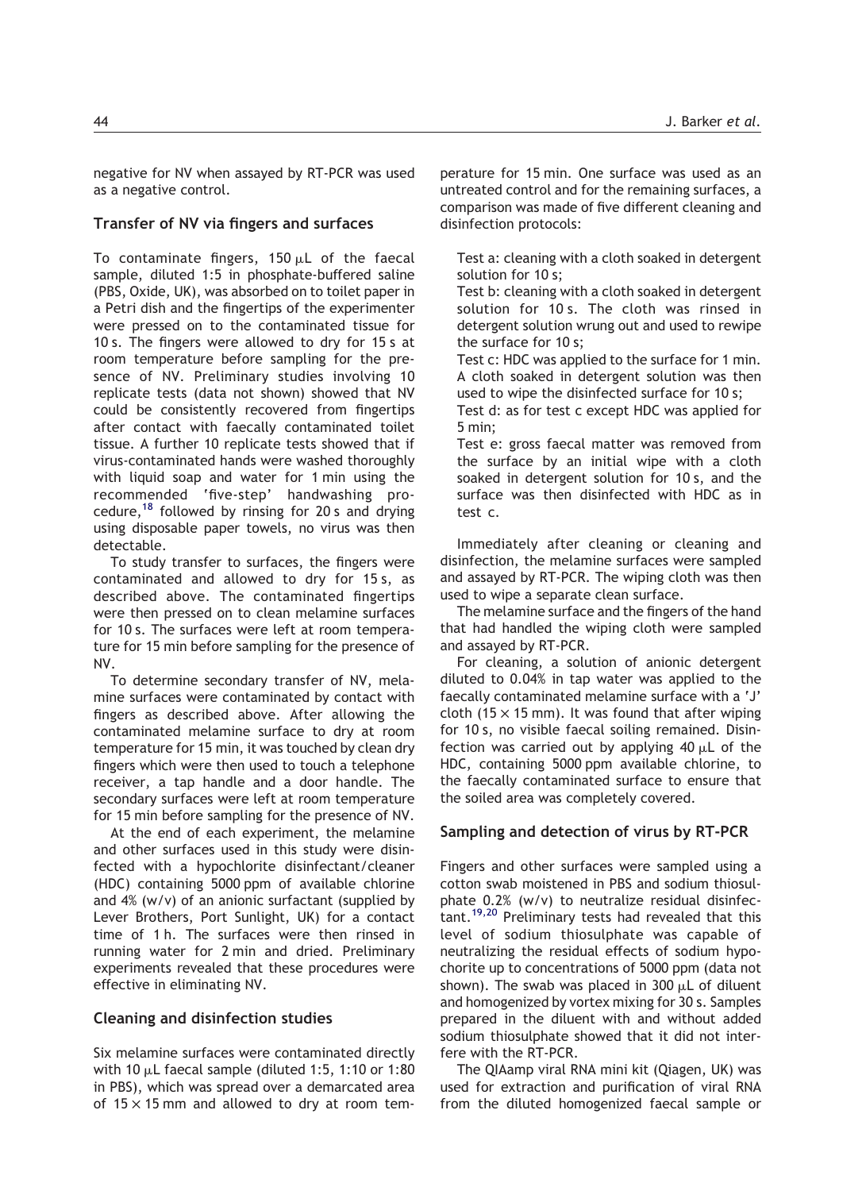negative for NV when assayed by RT-PCR was used as a negative control.

## Transfer of NV via fingers and surfaces

To contaminate fingers,  $150 \mu L$  of the faecal sample, diluted 1:5 in phosphate-buffered saline (PBS, Oxide, UK), was absorbed on to toilet paper in a Petri dish and the fingertips of the experimenter were pressed on to the contaminated tissue for 10 s. The fingers were allowed to dry for 15 s at room temperature before sampling for the presence of NV. Preliminary studies involving 10 replicate tests (data not shown) showed that NV could be consistently recovered from fingertips after contact with faecally contaminated toilet tissue. A further 10 replicate tests showed that if virus-contaminated hands were washed thoroughly with liquid soap and water for 1 min using the recommended 'five-step' handwashing procedure,  $18$  followed by rinsing for 20 s and drying using disposable paper towels, no virus was then detectable.

To study transfer to surfaces, the fingers were contaminated and allowed to dry for 15 s, as described above. The contaminated fingertips were then pressed on to clean melamine surfaces for 10 s. The surfaces were left at room temperature for 15 min before sampling for the presence of NV.

To determine secondary transfer of NV, melamine surfaces were contaminated by contact with fingers as described above. After allowing the contaminated melamine surface to dry at room temperature for 15 min, it was touched by clean dry fingers which were then used to touch a telephone receiver, a tap handle and a door handle. The secondary surfaces were left at room temperature for 15 min before sampling for the presence of NV.

At the end of each experiment, the melamine and other surfaces used in this study were disinfected with a hypochlorite disinfectant/cleaner (HDC) containing 5000 ppm of available chlorine and 4% (w/v) of an anionic surfactant (supplied by Lever Brothers, Port Sunlight, UK) for a contact time of 1 h. The surfaces were then rinsed in running water for 2 min and dried. Preliminary experiments revealed that these procedures were effective in eliminating NV.

## Cleaning and disinfection studies

Six melamine surfaces were contaminated directly with 10  $\mu$ L faecal sample (diluted 1:5, 1:10 or 1:80 in PBS), which was spread over a demarcated area of  $15 \times 15$  mm and allowed to dry at room tem-

perature for 15 min. One surface was used as an untreated control and for the remaining surfaces, a comparison was made of five different cleaning and disinfection protocols:

Test a: cleaning with a cloth soaked in detergent solution for 10 s;

Test b: cleaning with a cloth soaked in detergent solution for 10 s. The cloth was rinsed in detergent solution wrung out and used to rewipe the surface for 10 s;

Test c: HDC was applied to the surface for 1 min. A cloth soaked in detergent solution was then used to wipe the disinfected surface for 10 s;

Test d: as for test c except HDC was applied for 5 min;

Test e: gross faecal matter was removed from the surface by an initial wipe with a cloth soaked in detergent solution for 10 s, and the surface was then disinfected with HDC as in test c.

Immediately after cleaning or cleaning and disinfection, the melamine surfaces were sampled and assayed by RT-PCR. The wiping cloth was then used to wipe a separate clean surface.

The melamine surface and the fingers of the hand that had handled the wiping cloth were sampled and assayed by RT-PCR.

For cleaning, a solution of anionic detergent diluted to 0.04% in tap water was applied to the faecally contaminated melamine surface with a 'J' cloth (15  $\times$  15 mm). It was found that after wiping for 10 s, no visible faecal soiling remained. Disinfection was carried out by applying  $40 \mu L$  of the HDC, containing 5000 ppm available chlorine, to the faecally contaminated surface to ensure that the soiled area was completely covered.

#### Sampling and detection of virus by RT-PCR

Fingers and other surfaces were sampled using a cotton swab moistened in PBS and sodium thiosulphate 0.2% (w/v) to neutralize residual disinfec-tant.<sup>[19,20](#page-7-0)</sup> Preliminary tests had revealed that this level of sodium thiosulphate was capable of neutralizing the residual effects of sodium hypochorite up to concentrations of 5000 ppm (data not shown). The swab was placed in 300  $\mu$ L of diluent and homogenized by vortex mixing for 30 s. Samples prepared in the diluent with and without added sodium thiosulphate showed that it did not interfere with the RT-PCR.

The QIAamp viral RNA mini kit (Qiagen, UK) was used for extraction and purification of viral RNA from the diluted homogenized faecal sample or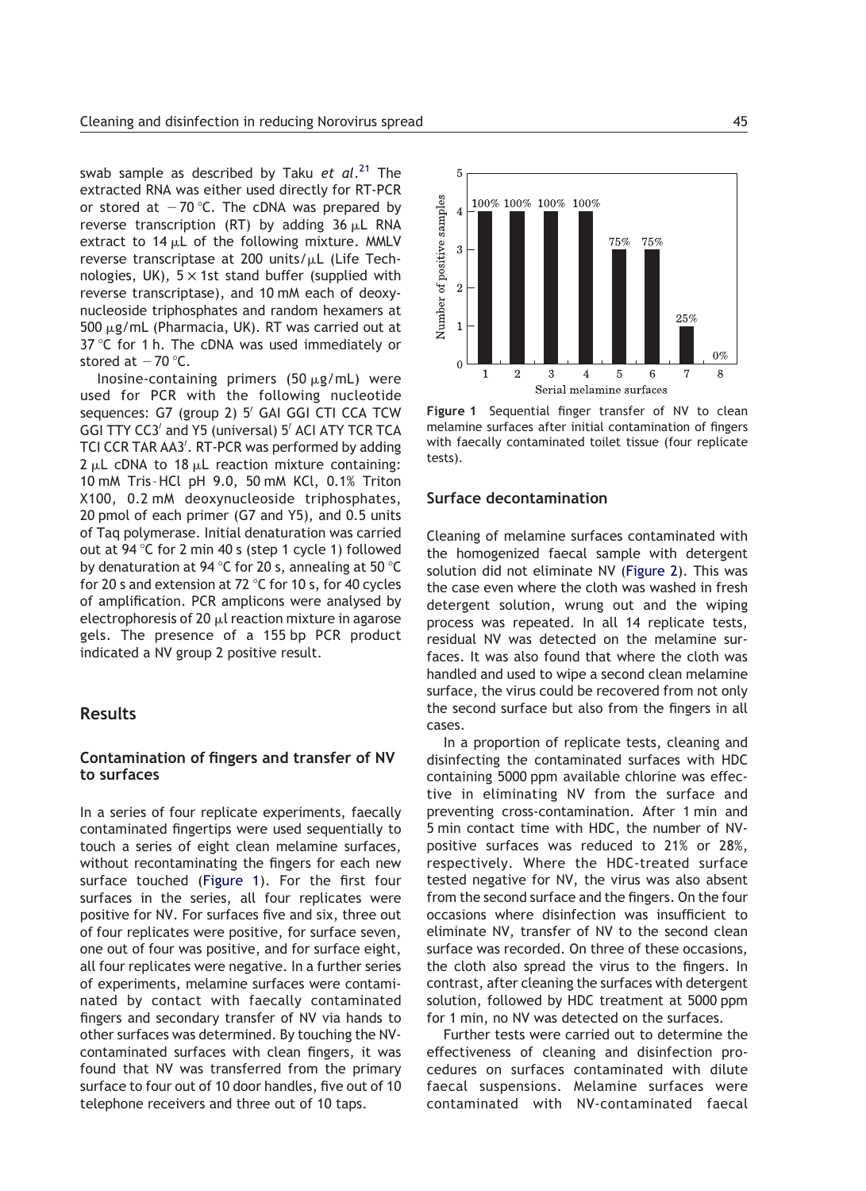swab sample as described by Taku *et al*.<sup>[21](#page-7-0)</sup> The extracted RNA was either used directly for RT-PCR or stored at  $-70$  °C. The cDNA was prepared by reverse transcription (RT) by adding  $36 \mu L$  RNA extract to  $14 \mu L$  of the following mixture. MMLV reverse transcriptase at 200 units/ $\mu$ L (Life Technologies, UK),  $5 \times 1$ st stand buffer (supplied with reverse transcriptase), and 10 mM each of deoxynucleoside triphosphates and random hexamers at 500  $\mu$ g/mL (Pharmacia, UK). RT was carried out at 37  $\degree$ C for 1 h. The cDNA was used immediately or stored at  $-70$  °C.

Inosine-containing primers (50  $\mu$ g/mL) were used for PCR with the following nucleotide sequences: G7 (group 2) 5' GAI GGI CTI CCA TCW GGI TTY CC3' and Y5 (universal) 5' ACI ATY TCR TCA TCI CCR TAR AA3'. RT-PCR was performed by adding  $2 \mu L$  cDNA to 18  $\mu L$  reaction mixture containing: 10 mM Tris –HCl pH 9.0, 50 mM KCl, 0.1% Triton X100, 0.2 mM deoxynucleoside triphosphates, 20 pmol of each primer (G7 and Y5), and 0.5 units of Taq polymerase. Initial denaturation was carried out at 94  $\degree$ C for 2 min 40 s (step 1 cycle 1) followed by denaturation at 94 °C for 20 s, annealing at 50 °C for 20 s and extension at 72  $\degree$ C for 10 s, for 40 cycles of amplification. PCR amplicons were analysed by electrophoresis of 20  $\mu$ l reaction mixture in agarose gels. The presence of a 155 bp PCR product indicated a NV group 2 positive result.

#### Results

## Contamination of fingers and transfer of NV to surfaces

In a series of four replicate experiments, faecally contaminated fingertips were used sequentially to touch a series of eight clean melamine surfaces, without recontaminating the fingers for each new surface touched (Figure 1). For the first four surfaces in the series, all four replicates were positive for NV. For surfaces five and six, three out of four replicates were positive, for surface seven, one out of four was positive, and for surface eight, all four replicates were negative. In a further series of experiments, melamine surfaces were contaminated by contact with faecally contaminated fingers and secondary transfer of NV via hands to other surfaces was determined. By touching the NVcontaminated surfaces with clean fingers, it was found that NV was transferred from the primary surface to four out of 10 door handles, five out of 10 telephone receivers and three out of 10 taps.



Figure 1 Sequential finger transfer of NV to clean melamine surfaces after initial contamination of fingers with faecally contaminated toilet tissue (four replicate tests).

#### Surface decontamination

Cleaning of melamine surfaces contaminated with the homogenized faecal sample with detergent solution did not eliminate NV ([Figure 2](#page-4-0)). This was the case even where the cloth was washed in fresh detergent solution, wrung out and the wiping process was repeated. In all 14 replicate tests, residual NV was detected on the melamine surfaces. It was also found that where the cloth was handled and used to wipe a second clean melamine surface, the virus could be recovered from not only the second surface but also from the fingers in all cases.

In a proportion of replicate tests, cleaning and disinfecting the contaminated surfaces with HDC containing 5000 ppm available chlorine was effective in eliminating NV from the surface and preventing cross-contamination. After 1 min and 5 min contact time with HDC, the number of NVpositive surfaces was reduced to 21% or 28%, respectively. Where the HDC-treated surface tested negative for NV, the virus was also absent from the second surface and the fingers. On the four occasions where disinfection was insufficient to eliminate NV, transfer of NV to the second clean surface was recorded. On three of these occasions, the cloth also spread the virus to the fingers. In contrast, after cleaning the surfaces with detergent solution, followed by HDC treatment at 5000 ppm for 1 min, no NV was detected on the surfaces.

Further tests were carried out to determine the effectiveness of cleaning and disinfection procedures on surfaces contaminated with dilute faecal suspensions. Melamine surfaces were contaminated with NV-contaminated faecal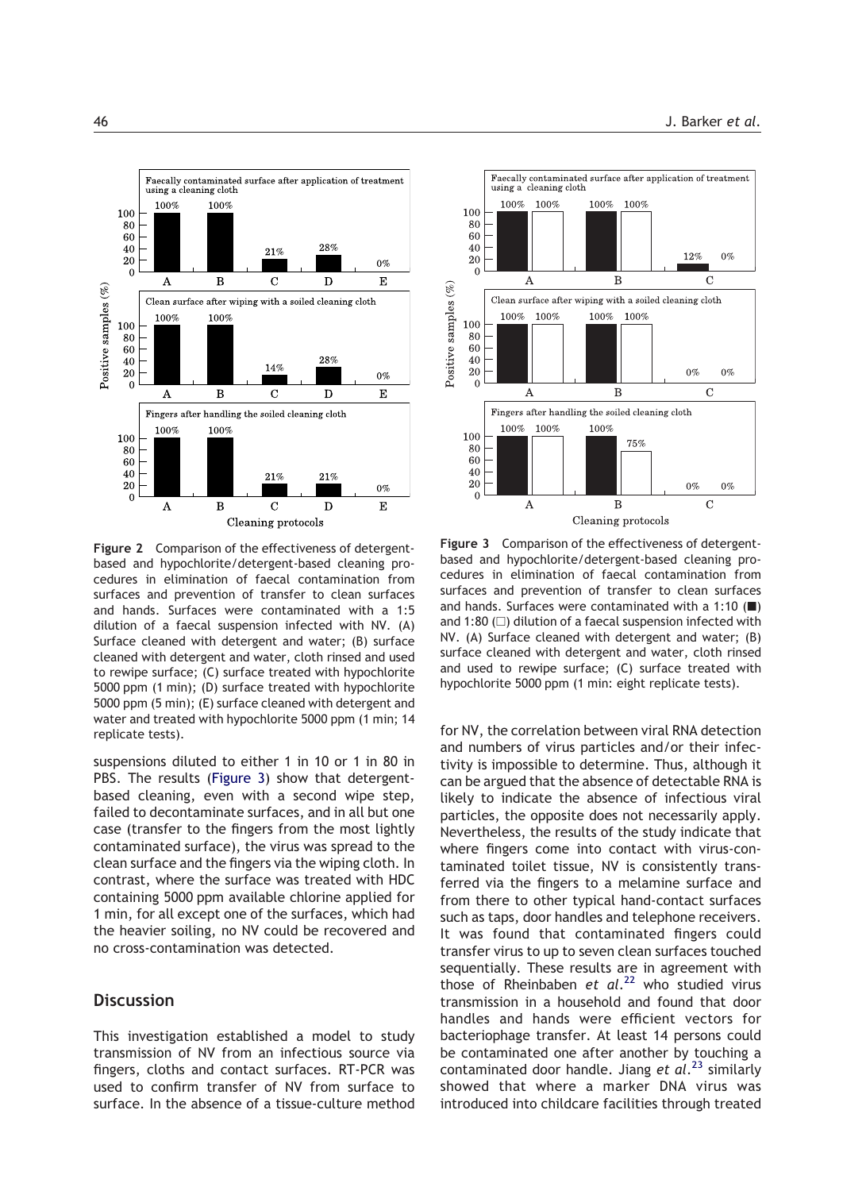<span id="page-4-0"></span>

Figure 2 Comparison of the effectiveness of detergentbased and hypochlorite/detergent-based cleaning procedures in elimination of faecal contamination from surfaces and prevention of transfer to clean surfaces and hands. Surfaces were contaminated with a 1:5 dilution of a faecal suspension infected with NV. (A) Surface cleaned with detergent and water; (B) surface cleaned with detergent and water, cloth rinsed and used to rewipe surface; (C) surface treated with hypochlorite 5000 ppm (1 min); (D) surface treated with hypochlorite 5000 ppm (5 min); (E) surface cleaned with detergent and water and treated with hypochlorite 5000 ppm (1 min; 14 replicate tests).

suspensions diluted to either 1 in 10 or 1 in 80 in PBS. The results (Figure 3) show that detergentbased cleaning, even with a second wipe step, failed to decontaminate surfaces, and in all but one case (transfer to the fingers from the most lightly contaminated surface), the virus was spread to the clean surface and the fingers via the wiping cloth. In contrast, where the surface was treated with HDC containing 5000 ppm available chlorine applied for 1 min, for all except one of the surfaces, which had the heavier soiling, no NV could be recovered and no cross-contamination was detected.

## **Discussion**

This investigation established a model to study transmission of NV from an infectious source via fingers, cloths and contact surfaces. RT-PCR was used to confirm transfer of NV from surface to surface. In the absence of a tissue-culture method



Figure 3 Comparison of the effectiveness of detergentbased and hypochlorite/detergent-based cleaning procedures in elimination of faecal contamination from surfaces and prevention of transfer to clean surfaces and hands. Surfaces were contaminated with a 1:10  $($  $\blacksquare)$ and 1:80  $($  $\Box)$  dilution of a faecal suspension infected with NV. (A) Surface cleaned with detergent and water; (B) surface cleaned with detergent and water, cloth rinsed and used to rewipe surface; (C) surface treated with hypochlorite 5000 ppm (1 min: eight replicate tests).

for NV, the correlation between viral RNA detection and numbers of virus particles and/or their infectivity is impossible to determine. Thus, although it can be argued that the absence of detectable RNA is likely to indicate the absence of infectious viral particles, the opposite does not necessarily apply. Nevertheless, the results of the study indicate that where fingers come into contact with virus-contaminated toilet tissue, NV is consistently transferred via the fingers to a melamine surface and from there to other typical hand-contact surfaces such as taps, door handles and telephone receivers. It was found that contaminated fingers could transfer virus to up to seven clean surfaces touched sequentially. These results are in agreement with those of Rheinbaben et al.<sup>[22](#page-7-0)</sup> who studied virus transmission in a household and found that door handles and hands were efficient vectors for bacteriophage transfer. At least 14 persons could be contaminated one after another by touching a contaminated door handle. Jiang et al.<sup>[23](#page-7-0)</sup> similarly showed that where a marker DNA virus was introduced into childcare facilities through treated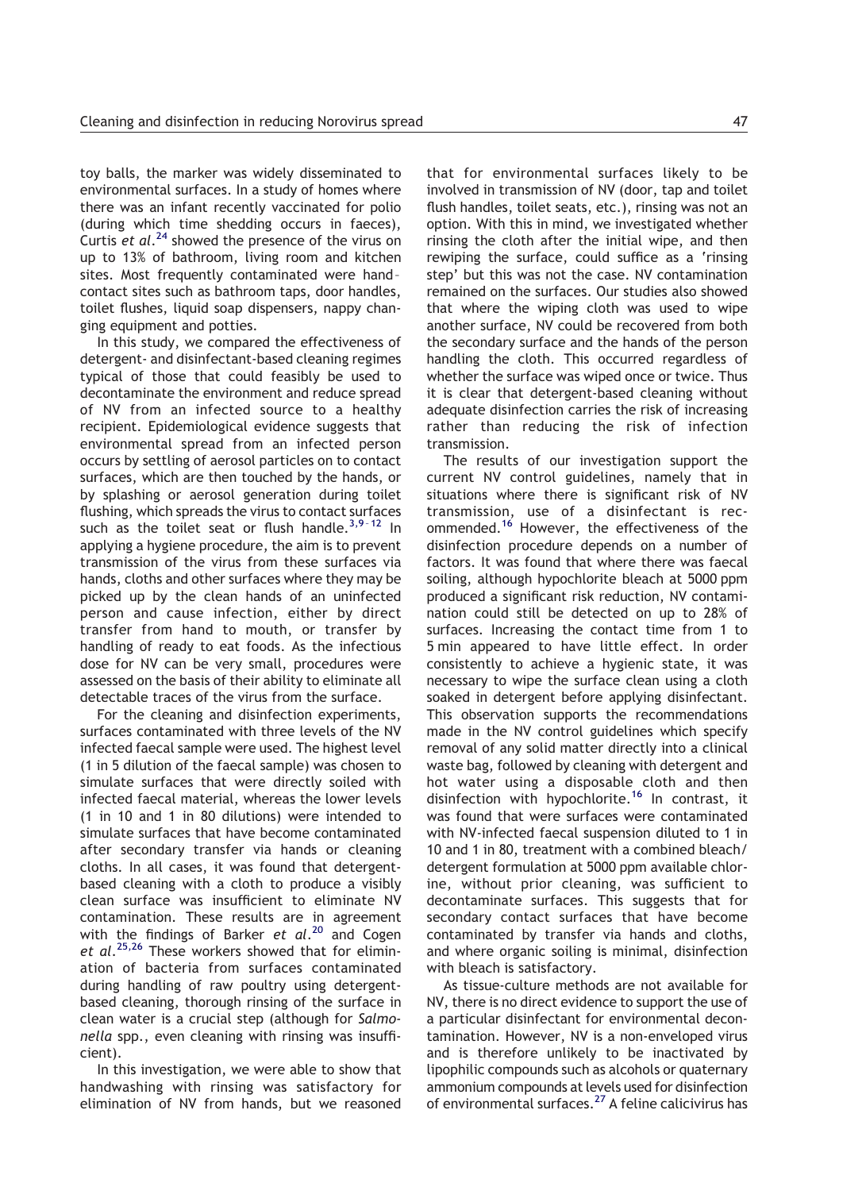toy balls, the marker was widely disseminated to environmental surfaces. In a study of homes where there was an infant recently vaccinated for polio (during which time shedding occurs in faeces), Curtis et  $al.^{24}$  $al.^{24}$  $al.^{24}$  showed the presence of the virus on up to 13% of bathroom, living room and kitchen sites. Most frequently contaminated were hand – contact sites such as bathroom taps, door handles, toilet flushes, liquid soap dispensers, nappy changing equipment and potties.

In this study, we compared the effectiveness of detergent- and disinfectant-based cleaning regimes typical of those that could feasibly be used to decontaminate the environment and reduce spread of NV from an infected source to a healthy recipient. Epidemiological evidence suggests that environmental spread from an infected person occurs by settling of aerosol particles on to contact surfaces, which are then touched by the hands, or by splashing or aerosol generation during toilet flushing, which spreads the virus to contact surfaces such as the toilet seat or flush handle. $3.9 - 12$  In applying a hygiene procedure, the aim is to prevent transmission of the virus from these surfaces via hands, cloths and other surfaces where they may be picked up by the clean hands of an uninfected person and cause infection, either by direct transfer from hand to mouth, or transfer by handling of ready to eat foods. As the infectious dose for NV can be very small, procedures were assessed on the basis of their ability to eliminate all detectable traces of the virus from the surface.

For the cleaning and disinfection experiments, surfaces contaminated with three levels of the NV infected faecal sample were used. The highest level (1 in 5 dilution of the faecal sample) was chosen to simulate surfaces that were directly soiled with infected faecal material, whereas the lower levels (1 in 10 and 1 in 80 dilutions) were intended to simulate surfaces that have become contaminated after secondary transfer via hands or cleaning cloths. In all cases, it was found that detergentbased cleaning with a cloth to produce a visibly clean surface was insufficient to eliminate NV contamination. These results are in agreement with the findings of Barker et al.<sup>[20](#page-7-0)</sup> and Cogen et al.<sup>[25,26](#page-7-0)</sup> These workers showed that for elimination of bacteria from surfaces contaminated during handling of raw poultry using detergentbased cleaning, thorough rinsing of the surface in clean water is a crucial step (although for Salmonella spp., even cleaning with rinsing was insufficient).

In this investigation, we were able to show that handwashing with rinsing was satisfactory for elimination of NV from hands, but we reasoned that for environmental surfaces likely to be involved in transmission of NV (door, tap and toilet flush handles, toilet seats, etc.), rinsing was not an option. With this in mind, we investigated whether rinsing the cloth after the initial wipe, and then rewiping the surface, could suffice as a 'rinsing step' but this was not the case. NV contamination remained on the surfaces. Our studies also showed that where the wiping cloth was used to wipe another surface, NV could be recovered from both the secondary surface and the hands of the person handling the cloth. This occurred regardless of whether the surface was wiped once or twice. Thus it is clear that detergent-based cleaning without adequate disinfection carries the risk of increasing rather than reducing the risk of infection transmission.

The results of our investigation support the current NV control guidelines, namely that in situations where there is significant risk of NV transmission, use of a disinfectant is rec-ommended.<sup>[16](#page-7-0)</sup> However, the effectiveness of the disinfection procedure depends on a number of factors. It was found that where there was faecal soiling, although hypochlorite bleach at 5000 ppm produced a significant risk reduction, NV contamination could still be detected on up to 28% of surfaces. Increasing the contact time from 1 to 5 min appeared to have little effect. In order consistently to achieve a hygienic state, it was necessary to wipe the surface clean using a cloth soaked in detergent before applying disinfectant. This observation supports the recommendations made in the NV control guidelines which specify removal of any solid matter directly into a clinical waste bag, followed by cleaning with detergent and hot water using a disposable cloth and then disinfection with hypochlorite.<sup>[16](#page-7-0)</sup> In contrast, it was found that were surfaces were contaminated with NV-infected faecal suspension diluted to 1 in 10 and 1 in 80, treatment with a combined bleach/ detergent formulation at 5000 ppm available chlorine, without prior cleaning, was sufficient to decontaminate surfaces. This suggests that for secondary contact surfaces that have become contaminated by transfer via hands and cloths, and where organic soiling is minimal, disinfection with bleach is satisfactory.

As tissue-culture methods are not available for NV, there is no direct evidence to support the use of a particular disinfectant for environmental decontamination. However, NV is a non-enveloped virus and is therefore unlikely to be inactivated by lipophilic compounds such as alcohols or quaternary ammonium compounds at levels used for disinfection of environmental surfaces.[27](#page-7-0) A feline calicivirus has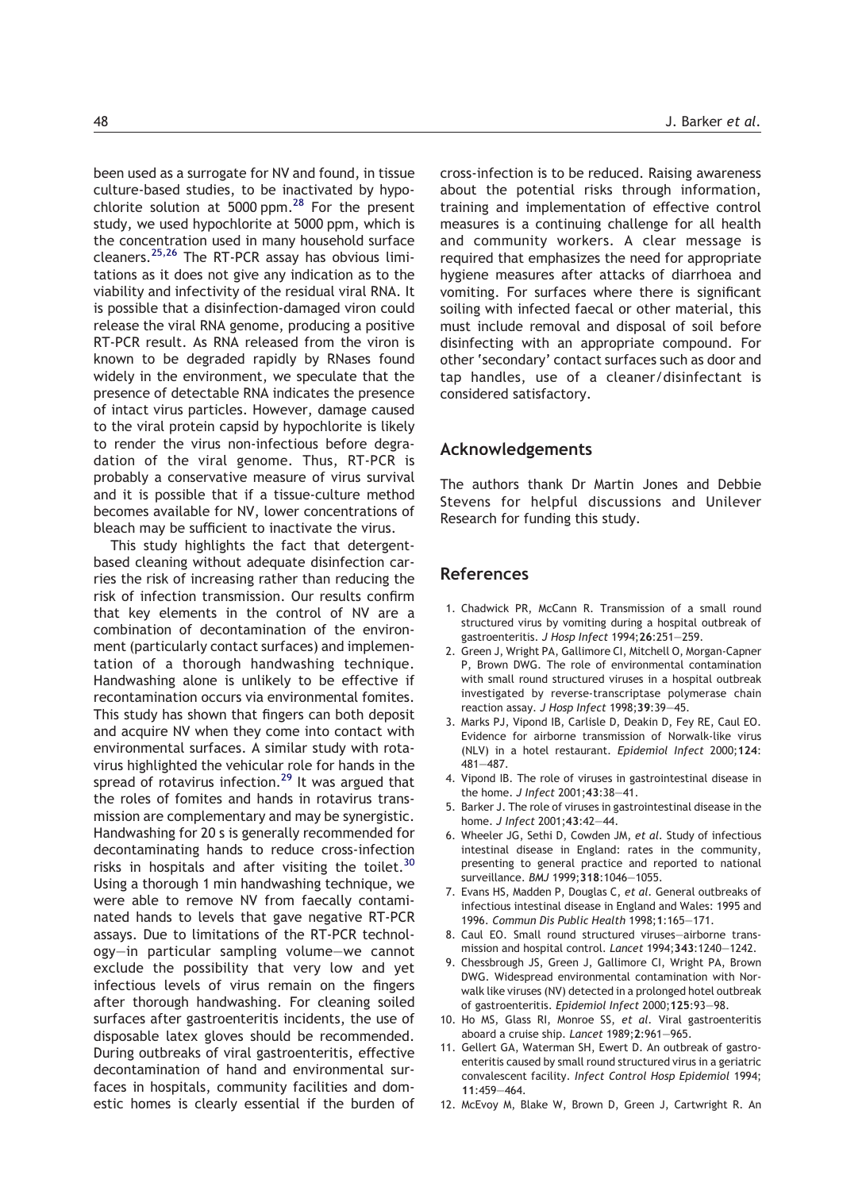<span id="page-6-0"></span>been used as a surrogate for NV and found, in tissue culture-based studies, to be inactivated by hypochlorite solution at 5000 ppm. $28$  For the present study, we used hypochlorite at 5000 ppm, which is the concentration used in many household surface cleaners.[25,26](#page-7-0) The RT-PCR assay has obvious limitations as it does not give any indication as to the viability and infectivity of the residual viral RNA. It is possible that a disinfection-damaged viron could release the viral RNA genome, producing a positive RT-PCR result. As RNA released from the viron is known to be degraded rapidly by RNases found widely in the environment, we speculate that the presence of detectable RNA indicates the presence of intact virus particles. However, damage caused to the viral protein capsid by hypochlorite is likely to render the virus non-infectious before degradation of the viral genome. Thus, RT-PCR is probably a conservative measure of virus survival and it is possible that if a tissue-culture method becomes available for NV, lower concentrations of bleach may be sufficient to inactivate the virus.

This study highlights the fact that detergentbased cleaning without adequate disinfection carries the risk of increasing rather than reducing the risk of infection transmission. Our results confirm that key elements in the control of NV are a combination of decontamination of the environment (particularly contact surfaces) and implementation of a thorough handwashing technique. Handwashing alone is unlikely to be effective if recontamination occurs via environmental fomites. This study has shown that fingers can both deposit and acquire NV when they come into contact with environmental surfaces. A similar study with rotavirus highlighted the vehicular role for hands in the spread of rotavirus infection.<sup>[29](#page-7-0)</sup> It was argued that the roles of fomites and hands in rotavirus transmission are complementary and may be synergistic. Handwashing for 20 s is generally recommended for decontaminating hands to reduce cross-infection risks in hospitals and after visiting the toilet.<sup>[30](#page-7-0)</sup> Using a thorough 1 min handwashing technique, we were able to remove NV from faecally contaminated hands to levels that gave negative RT-PCR assays. Due to limitations of the RT-PCR technology—in particular sampling volume—we cannot exclude the possibility that very low and yet infectious levels of virus remain on the fingers after thorough handwashing. For cleaning soiled surfaces after gastroenteritis incidents, the use of disposable latex gloves should be recommended. During outbreaks of viral gastroenteritis, effective decontamination of hand and environmental surfaces in hospitals, community facilities and domestic homes is clearly essential if the burden of

cross-infection is to be reduced. Raising awareness about the potential risks through information, training and implementation of effective control measures is a continuing challenge for all health and community workers. A clear message is required that emphasizes the need for appropriate hygiene measures after attacks of diarrhoea and vomiting. For surfaces where there is significant soiling with infected faecal or other material, this must include removal and disposal of soil before disinfecting with an appropriate compound. For other 'secondary' contact surfaces such as door and tap handles, use of a cleaner/disinfectant is considered satisfactory.

## Acknowledgements

The authors thank Dr Martin Jones and Debbie Stevens for helpful discussions and Unilever Research for funding this study.

#### References

- 1. Chadwick PR, McCann R. Transmission of a small round structured virus by vomiting during a hospital outbreak of gastroenteritis. J Hosp Infect 1994;26:251—259.
- 2. Green J, Wright PA, Gallimore CI, Mitchell O, Morgan-Capner P, Brown DWG. The role of environmental contamination with small round structured viruses in a hospital outbreak investigated by reverse-transcriptase polymerase chain reaction assay. J Hosp Infect 1998;39:39—45.
- 3. Marks PJ, Vipond IB, Carlisle D, Deakin D, Fey RE, Caul EO. Evidence for airborne transmission of Norwalk-like virus (NLV) in a hotel restaurant. Epidemiol Infect 2000;124: 481—487.
- 4. Vipond IB. The role of viruses in gastrointestinal disease in the home. J Infect 2001;43:38—41.
- 5. Barker J. The role of viruses in gastrointestinal disease in the home. J Infect 2001;43:42—44.
- 6. Wheeler JG, Sethi D, Cowden JM, et al. Study of infectious intestinal disease in England: rates in the community, presenting to general practice and reported to national surveillance. BMJ 1999;318:1046—1055.
- 7. Evans HS, Madden P, Douglas C, et al. General outbreaks of infectious intestinal disease in England and Wales: 1995 and 1996. Commun Dis Public Health 1998;1:165—171.
- 8. Caul EO. Small round structured viruses—airborne transmission and hospital control. Lancet 1994;343:1240—1242.
- 9. Chessbrough JS, Green J, Gallimore CI, Wright PA, Brown DWG. Widespread environmental contamination with Norwalk like viruses (NV) detected in a prolonged hotel outbreak of gastroenteritis. Epidemiol Infect 2000;125:93—98.
- 10. Ho MS, Glass RI, Monroe SS, et al. Viral gastroenteritis aboard a cruise ship. Lancet 1989;2:961—965.
- 11. Gellert GA, Waterman SH, Ewert D. An outbreak of gastroenteritis caused by small round structured virus in a geriatric convalescent facility. Infect Control Hosp Epidemiol 1994; 11:459—464.
- 12. McEvoy M, Blake W, Brown D, Green J, Cartwright R. An